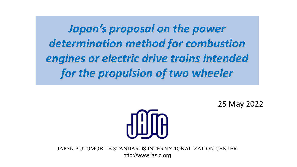*Japan's proposal on the power determination method for combustion engines or electric drive trains intended for the propulsion of two wheeler*

25 May 2022



JAPAN AUTOMOBILE STANDARDS INTERNATIONALIZATION CENTER http://www.jasic.org